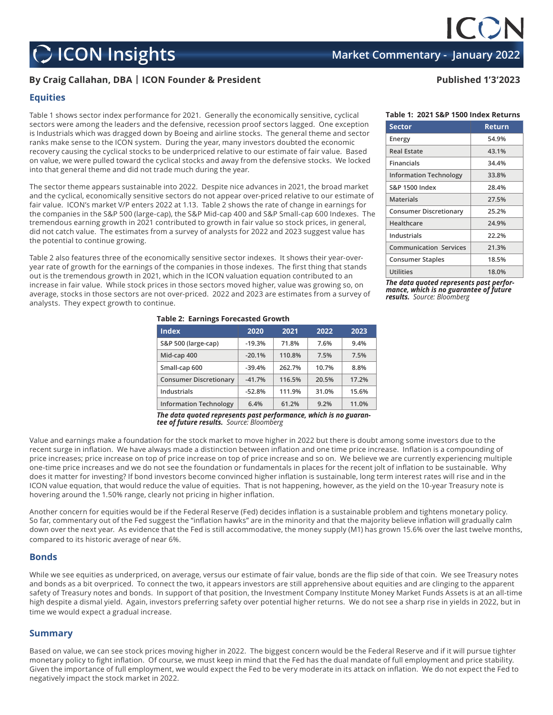# **C** ICON Insights **Market Commentary - January 2022**

## **By Craig Callahan, DBA | ICON Founder & President Published 1'3'2023**

### **Equities**

Table 1 shows sector index performance for 2021. Generally the economically sensitive, cyclical sectors were among the leaders and the defensive, recession proof sectors lagged. One exception is Industrials which was dragged down by Boeing and airline stocks. The general theme and sector ranks make sense to the ICON system. During the year, many investors doubted the economic recovery causing the cyclical stocks to be underpriced relative to our estimate of fair value. Based on value, we were pulled toward the cyclical stocks and away from the defensive stocks. We locked into that general theme and did not trade much during the year.

The sector theme appears sustainable into 2022. Despite nice advances in 2021, the broad market and the cyclical, economically sensitive sectors do not appear over-priced relative to our estimate of fair value. ICON's market V/P enters 2022 at 1.13. Table 2 shows the rate of change in earnings for the companies in the S&P 500 (large-cap), the S&P Mid-cap 400 and S&P Small-cap 600 Indexes. The tremendous earning growth in 2021 contributed to growth in fair value so stock prices, in general, did not catch value. The estimates from a survey of analysts for 2022 and 2023 suggest value has the potential to continue growing.

Table 2 also features three of the economically sensitive sector indexes. It shows their year-overyear rate of growth for the earnings of the companies in those indexes. The first thing that stands out is the tremendous growth in 2021, which in the ICON valuation equation contributed to an increase in fair value. While stock prices in those sectors moved higher, value was growing so, on average, stocks in those sectors are not over-priced. 2022 and 2023 are estimates from a survey of analysts. They expect growth to continue.

**Information Technology 6.4% 61.2% 9.2% 11.0%** *The data quoted represents past performance, which is no guarantee of future results. Source: Bloomberg*

Value and earnings make a foundation for the stock market to move higher in 2022 but there is doubt among some investors due to the recent surge in inflation. We have always made a distinction between inflation and one time price increase. Inflation is a compounding of price increases; price increase on top of price increase on top of price increase and so on. We believe we are currently experiencing multiple one-time price increases and we do not see the foundation or fundamentals in places for the recent jolt of inflation to be sustainable. Why does it matter for investing? If bond investors become convinced higher inflation is sustainable, long term interest rates will rise and in the ICON value equation, that would reduce the value of equities. That is not happening, however, as the yield on the 10-year Treasury note is hovering around the 1.50% range, clearly not pricing in higher inflation.

Another concern for equities would be if the Federal Reserve (Fed) decides inflation is a sustainable problem and tightens monetary policy. So far, commentary out of the Fed suggest the "inflation hawks" are in the minority and that the majority believe inflation will gradually calm down over the next year. As evidence that the Fed is still accommodative, the money supply (M1) has grown 15.6% over the last twelve months, compared to its historic average of near 6%.

#### **Bonds**

While we see equities as underpriced, on average, versus our estimate of fair value, bonds are the flip side of that coin. We see Treasury notes and bonds as a bit overpriced. To connect the two, it appears investors are still apprehensive about equities and are clinging to the apparent safety of Treasury notes and bonds. In support of that position, the Investment Company Institute Money Market Funds Assets is at an all-time high despite a dismal yield. Again, investors preferring safety over potential higher returns. We do not see a sharp rise in yields in 2022, but in time we would expect a gradual increase.

### **Summary**

Based on value, we can see stock prices moving higher in 2022. The biggest concern would be the Federal Reserve and if it will pursue tighter monetary policy to fight inflation. Of course, we must keep in mind that the Fed has the dual mandate of full employment and price stability. Given the importance of full employment, we would expect the Fed to be very moderate in its attack on inflation. We do not expect the Fed to negatively impact the stock market in 2022.

| <b>Table 2: Earnings Forecasted Growth</b> |          |        |       |       |  |  |
|--------------------------------------------|----------|--------|-------|-------|--|--|
| <b>Index</b>                               | 2020     | 2021   | 2022  | 2023  |  |  |
| S&P 500 (large-cap)                        | $-19.3%$ | 71.8%  | 7.6%  | 9.4%  |  |  |
| Mid-cap 400                                | $-20.1%$ | 110.8% | 7.5%  | 7.5%  |  |  |
| Small-cap 600                              | $-39.4%$ | 262.7% | 10.7% | 8.8%  |  |  |
| <b>Consumer Discretionary</b>              | $-41.7%$ | 116.5% | 20.5% | 17.2% |  |  |
| Industrials                                | $-52.8%$ | 111.9% | 31.0% | 15.6% |  |  |
|                                            |          |        |       |       |  |  |

#### **Table 1: 2021 S&P 1500 Index Returns**

| <b>Sector</b>                 | Return |  |
|-------------------------------|--------|--|
| Energy                        | 54.9%  |  |
| <b>Real Estate</b>            | 43.1%  |  |
| Financials                    | 34.4%  |  |
| <b>Information Technology</b> | 33.8%  |  |
| <b>S&amp;P 1500 Index</b>     | 28.4%  |  |
| <b>Materials</b>              | 27.5%  |  |
| <b>Consumer Discretionary</b> | 25.2%  |  |
| Healthcare                    | 24.9%  |  |
| Industrials                   | 22.2%  |  |
| <b>Communication Services</b> | 21.3%  |  |
| <b>Consumer Staples</b>       | 18.5%  |  |
| <b>Utilities</b>              | 18.0%  |  |

*The data quoted represents past performance, which is no guarantee of future results. Source: Bloomberg*